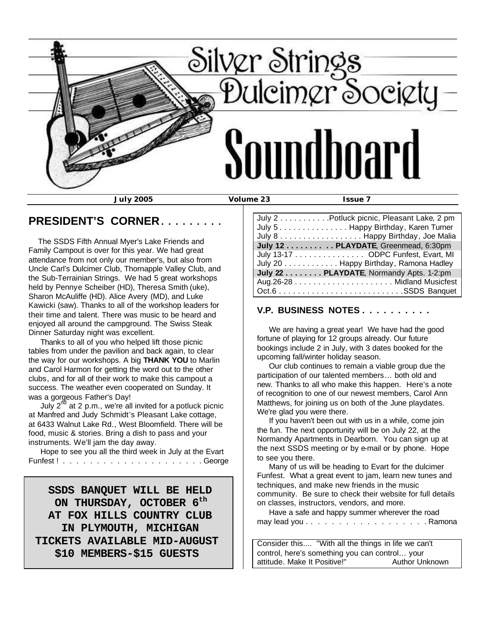

### **PRESIDENT'S CORNER . . . . . . . . .**

 The SSDS Fifth Annual Myer's Lake Friends and Family Campout is over for this year. We had great attendance from not only our member's, but also from Uncle Carl's Dulcimer Club, Thornapple Valley Club, and the Sub-Terrainian Strings. We had 5 great workshops held by Pennye Scheiber (HD), Theresa Smith (uke), Sharon McAuliffe (HD). Alice Avery (MD), and Luke Kawicki (saw). Thanks to all of the workshop leaders for their time and talent. There was music to be heard and enjoyed all around the campground. The Swiss Steak Dinner Saturday night was excellent.

 Thanks to all of you who helped lift those picnic tables from under the pavilion and back again, to clear the way for our workshops. A big **THANK YOU** to Marlin and Carol Harmon for getting the word out to the other clubs, and for all of their work to make this campout a success. The weather even cooperated on Sunday. It was a gorgeous Father's Day!

July  $2^{\overline{nd}}$  at 2 p.m., we're all invited for a potluck picnic at Manfred and Judy Schmidt's Pleasant Lake cottage, at 6433 Walnut Lake Rd., West Bloomfield. There will be food, music & stories. Bring a dish to pass and your instruments. We'll jam the day away.

 Hope to see you all the third week in July at the Evart Funfest ! . . . . . . . . . . . . . . . . . . . . . George

 **SSDS BANQUET WILL BE HELD ON THURSDAY, OCTOBER 6th AT FOX HILLS COUNTRY CLUB IN PLYMOUTH, MICHIGAN TICKETS AVAILABLE MID-AUGUST \$10 MEMBERS-\$15 GUESTS**

| July 2 Potluck picnic, Pleasant Lake, 2 pm |
|--------------------------------------------|
| July 5 Happy Birthday, Karen Turner        |
| July 8 Happy Birthday, Joe Malia           |
| July 12 PLAYDATE, Greenmead, 6:30pm        |
| July 13-17 ODPC Funfest, Evart, MI         |
| July 20 Happy Birthday, Ramona Hadley      |
| July 22 PLAYDATE, Normandy Apts. 1-2:pm    |
|                                            |
|                                            |
|                                            |

### **V.P. BUSINESS NOTES . . . . . . . . . .**

 We are having a great year! We have had the good fortune of playing for 12 groups already. Our future bookings include 2 in July, with 3 dates booked for the upcoming fall/winter holiday season.

 Our club continues to remain a viable group due the participation of our talented members… both old and new. Thanks to all who make this happen. Here's a note of recognition to one of our newest members, Carol Ann Matthews, for joining us on both of the June playdates. We're glad you were there.

 If you haven't been out with us in a while, come join the fun. The next opportunity will be on July 22, at the Normandy Apartments in Dearborn. You can sign up at the next SSDS meeting or by e-mail or by phone. Hope to see you there.

 Many of us will be heading to Evart for the dulcimer Funfest. What a great event to jam, learn new tunes and techniques, and make new friends in the music community. Be sure to check their website for full details on classes, instructors, vendors, and more.

 Have a safe and happy summer wherever the road may lead you . . . . . . . . . . . . . . . . . . Ramona

Consider this.... "With all the things in life we can't control, here's something you can control… your attitude. Make It Positive!" Author Unknown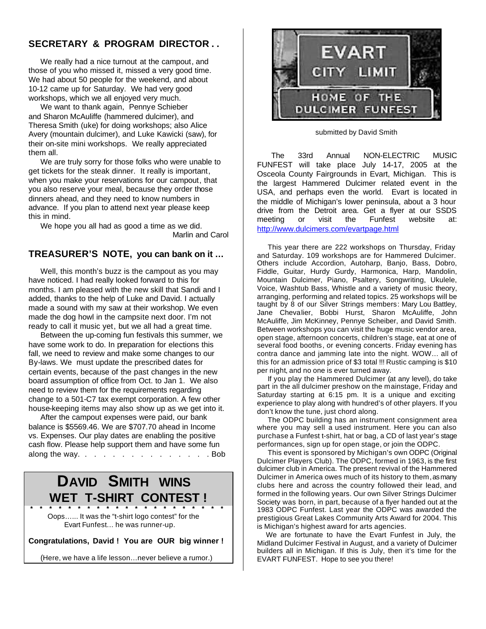### **SECRETARY & PROGRAM DIRECTOR . .**

 We really had a nice turnout at the campout, and those of you who missed it, missed a very good time. We had about 50 people for the weekend, and about 10-12 came up for Saturday. We had very good workshops, which we all enjoyed very much.

 We want to thank again, Pennye Schieber and Sharon McAuliffe (hammered dulcimer), and Theresa Smith (uke) for doing workshops; also Alice Avery (mountain dulcimer), and Luke Kawicki (saw), for their on-site mini workshops. We really appreciated them all.

 We are truly sorry for those folks who were unable to get tickets for the steak dinner. It really is important, when you make your reservations for our campout, that you also reserve your meal, because they order those dinners ahead, and they need to know numbers in advance. If you plan to attend next year please keep this in mind.

 We hope you all had as good a time as we did. Marlin and Carol

### **TREASURER'S NOTE, you can bank on it …**

 Well, this month's buzz is the campout as you may have noticed. I had really looked forward to this for months. I am pleased with the new skill that Sandi and I added, thanks to the help of Luke and David. I actually made a sound with my saw at their workshop. We even made the dog howl in the campsite next door. I'm not ready to call it music yet, but we all had a great time.

 Between the up-coming fun festivals this summer, we have some work to do. In preparation for elections this fall, we need to review and make some changes to our By-laws. We must update the prescribed dates for certain events, because of the past changes in the new board assumption of office from Oct. to Jan 1. We also need to review them for the requirements regarding change to a 501-C7 tax exempt corporation. A few other house-keeping items may also show up as we get into it.

 After the campout expenses were paid, our bank balance is \$5569.46. We are \$707.70 ahead in Income vs. Expenses. Our play dates are enabling the positive cash flow. Please help support them and have some fun along the way. . . . . . . . . . . . . . . . Bob

# **DAVID SMITH WINS WET T-SHIRT CONTEST !**

 **\* \* \* \* \* \* \* \* \* \* \* \* \* \* \* \* \* \* \* \* \*** Oops…... It was the "t-shirt logo contest" for the Evart Funfest… he was runner-up.

**Congratulations, David ! You are OUR big winner !** 

(Here, we have a life lesson…never believe a rumor.)



submitted by David Smith

 The 33rd Annual NON-ELECTRIC MUSIC FUNFEST will take place July 14-17, 2005 at the Osceola County Fairgrounds in Evart, Michigan. This is the largest Hammered Dulcimer related event in the USA, and perhaps even the world. Evart is located in the middle of Michigan's lower peninsula, about a 3 hour drive from the Detroit area. Get a flyer at our SSDS meeting or visit the Funfest website at: http://www.dulcimers.com/evartpage.html

 This year there are 222 workshops on Thursday, Friday and Saturday. 109 workshops are for Hammered Dulcimer. Others include Accordion, Autoharp, Banjo, Bass, Dobro, Fiddle, Guitar, Hurdy Gurdy, Harmonica, Harp, Mandolin, Mountain Dulcimer, Piano, Psaltery, Songwriting, Ukulele, Voice, Washtub Bass, Whistle and a variety of music theory, arranging, performing and related topics. 25 workshops will be taught by 8 of our Silver Strings members: Mary Lou Battley, Jane Chevalier, Bobbi Hurst, Sharon McAuliffe, John McAuliffe, Jim McKinney, Pennye Scheiber, and David Smith. Between workshops you can visit the huge music vendor area, open stage, afternoon concerts, children's stage, eat at one of several food booths, or evening concerts. Friday evening has contra dance and jamming late into the night. WOW… all of this for an admission price of \$3 total !!! Rustic camping is \$10 per night, and no one is ever turned away.

 If you play the Hammered Dulcimer (at any level), do take part in the all dulcimer preshow on the mainstage, Friday and Saturday starting at 6:15 pm. It is a unique and exciting experience to play along with hundred's of other players. If you don't know the tune, just chord along.

 The ODPC building has an instrument consignment area where you may sell a used instrument. Here you can also purchase a Funfest t-shirt, hat or bag, a CD of last year's stage performances, sign up for open stage, or join the ODPC.

 This event is sponsored by Michigan's own ODPC (Original Dulcimer Players Club). The ODPC, formed in 1963, is the first dulcimer club in America. The present revival of the Hammered Dulcimer in America owes much of its history to them, as many clubs here and across the country followed their lead, and formed in the following years. Our own Silver Strings Dulcimer Society was born, in part, because of a flyer handed out at the 1983 ODPC Funfest. Last year the ODPC was awarded the prestigious Great Lakes Community Arts Award for 2004. This is Michigan's highest award for arts agencies.

 We are fortunate to have the Evart Funfest in July, the Midland Dulcimer Festival in August, and a variety of Dulcimer builders all in Michigan. If this is July, then it's time for the EVART FUNFEST. Hope to see you there!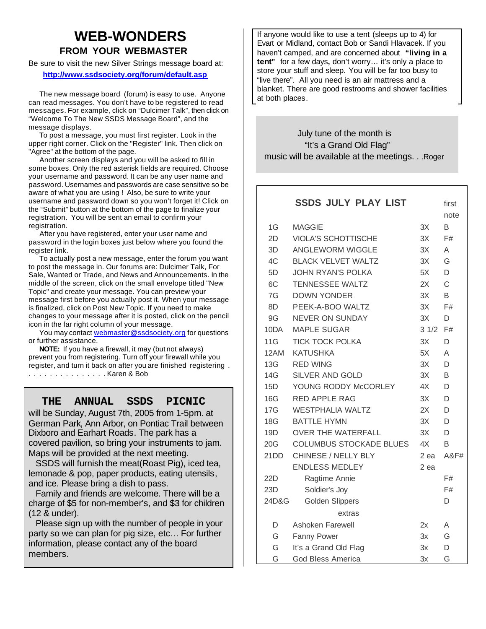## **WEB-WONDERS FROM YOUR WEBMASTER**

Be sure to visit the new Silver Strings message board at:  **http://www.ssdsociety.org/forum/default.asp**

 The new message board (forum) is easy to use. Anyone can read messages. You don't have to be registered to read messages. For example, click on "Dulcimer Talk", then click on "Welcome To The New SSDS Message Board", and the message displays.

 To post a message, you must first register. Look in the upper right corner. Click on the "Register" link. Then click on "Agree" at the bottom of the page.

 Another screen displays and you will be asked to fill in some boxes. Only the red asterisk fields are required. Choose your username and password. It can be any user name and password. Usernames and passwords are case sensitive so be aware of what you are using ! Also, be sure to write your username and password down so you won't forget it! Click on the "Submit" button at the bottom of the page to finalize your registration. You will be sent an email to confirm your registration.

 After you have registered, enter your user name and password in the login boxes just below where you found the register link.

 To actually post a new message, enter the forum you want to post the message in. Our forums are: Dulcimer Talk, For Sale, Wanted or Trade, and News and Announcements. In the middle of the screen, click on the small envelope titled "New Topic" and create your message. You can preview your message first before you actually post it. When your message is finalized, click on Post New Topic. If you need to make changes to your message after it is posted, click on the pencil icon in the far right column of your message.

 You may contact webmaster@ssdsociety.org for questions or further assistance.

 **NOTE:** If you have a firewall, it may (but not always) prevent you from registering. Turn off your firewall while you register, and turn it back on after you are finished registering . . . . . . . . . . . . . . . . Karen & Bob

### **THE ANNUAL SSDS PICNIC**

will be Sunday, August 7th, 2005 from 1-5pm. at German Park, Ann Arbor, on Pontiac Trail between Dixboro and Earhart Roads. The park has a covered pavilion, so bring your instruments to jam. Maps will be provided at the next meeting.

 SSDS will furnish the meat(Roast Pig), iced tea, lemonade & pop, paper products, eating utensils, and ice. Please bring a dish to pass.

 Family and friends are welcome. There will be a charge of \$5 for non-member's, and \$3 for children (12 & under).

 Please sign up with the number of people in your party so we can plan for pig size, etc… For further information, please contact any of the board members.

If anyone would like to use a tent (sleeps up to 4) for Evart or Midland, contact Bob or Sandi Hlavacek. If you haven't camped, and are concerned about **"living in a tent"** for a few days**,** don't worry… it's only a place to store your stuff and sleep. You will be far too busy to "live there". All you need is an air mattress and a blanket. There are good restrooms and shower facilities at both places.

 July tune of the month is "It's a Grand Old Flag" music will be available at the meetings. . .Roger

|            | <b>SSDS JULY PLAY LIST</b>     |      | first           |
|------------|--------------------------------|------|-----------------|
|            |                                |      | note            |
| 1G         | <b>MAGGIE</b>                  | 3X   | B               |
| 2D         | <b>VIOLA'S SCHOTTISCHE</b>     | 3X   | F#              |
| 3D.        | <b>ANGLEWORM WIGGLE</b>        | 3X   | A               |
| 4C         | <b>BLACK VELVET WALTZ</b>      | 3X   | G               |
| 5D         | <b>JOHN RYAN'S POLKA</b>       | 5X   | D               |
| 6C         | <b>TENNESSEE WALTZ</b>         | 2X   | C               |
| 7G         | <b>DOWN YONDER</b>             | 3X   | B               |
| 8D         | PEEK-A-BOO WALTZ               | 3X   | F#              |
| 9G         | NEVER ON SUNDAY                | 3X   | D               |
| 10DA       | <b>MAPLE SUGAR</b>             | 31/2 | F#              |
| 11G        | <b>TICK TOCK POLKA</b>         | 3X   | D               |
| 12AM       | <b>KATUSHKA</b>                | 5X   | A               |
| <b>13G</b> | <b>RED WING</b>                | 3X   | D               |
| 14G        | <b>SILVER AND GOLD</b>         | 3X   | B               |
| 15D        | YOUNG RODDY McCORLEY           | 4X   | D               |
| 16G        | <b>RED APPLE RAG</b>           | 3X   | D               |
| 17G        | <b>WESTPHALIA WALTZ</b>        | 2X   | D               |
| 18G        | <b>BATTLE HYMN</b>             | 3X   | D               |
| 19D        | <b>OVER THE WATERFALL</b>      | 3X   | D               |
| 20G        | <b>COLUMBUS STOCKADE BLUES</b> | 4X   | B               |
| 21DD       | CHINESE / NELLY BLY            | 2 ea | <b>A&amp;F#</b> |
|            | <b>ENDLESS MEDLEY</b>          | 2 ea |                 |
| 22D        | Ragtime Annie                  |      | F#              |
| 23D        | Soldier's Joy                  |      | F#              |
| 24D&G      | <b>Golden Slippers</b>         |      | D               |
|            | extras                         |      |                 |
| D          | Ashoken Farewell               | 2x   | Α               |
| G          | Fanny Power                    | 3x   | G               |
| G          | It's a Grand Old Flag          | 3x   | D               |
| G          | <b>God Bless America</b>       | 3x   | G               |